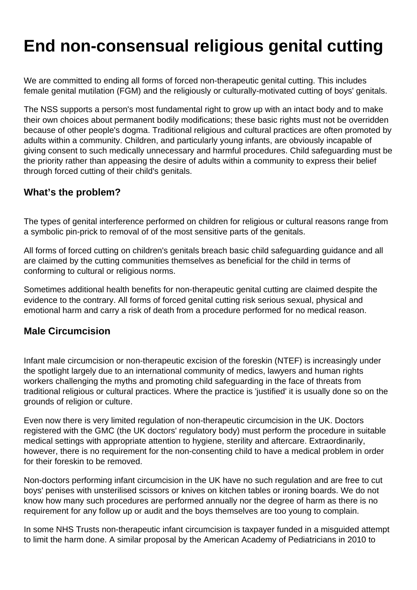# **End non-consensual religious genital cutting**

We are committed to ending all forms of forced non-therapeutic genital cutting. This includes female genital mutilation (FGM) and the religiously or culturally-motivated cutting of boys' genitals.

The NSS supports a person's most fundamental right to grow up with an intact body and to make their own choices about permanent bodily modifications; these basic rights must not be overridden because of other people's dogma. Traditional religious and cultural practices are often promoted by adults within a community. Children, and particularly young infants, are obviously incapable of giving consent to such medically unnecessary and harmful procedures. Child safeguarding must be the priority rather than appeasing the desire of adults within a community to express their belief through forced cutting of their child's genitals.

#### **What's the problem?**

The types of genital interference performed on children for religious or cultural reasons range from a symbolic pin-prick to removal of of the most sensitive parts of the genitals.

All forms of forced cutting on children's genitals breach basic child safeguarding guidance and all are claimed by the cutting communities themselves as beneficial for the child in terms of conforming to cultural or religious norms.

Sometimes additional health benefits for non-therapeutic genital cutting are claimed despite the evidence to the contrary. All forms of forced genital cutting risk serious sexual, physical and emotional harm and carry a risk of death from a procedure performed for no medical reason.

#### **Male Circumcision**

Infant male circumcision or non-therapeutic excision of the foreskin (NTEF) is increasingly under the spotlight largely due to an international community of medics, lawyers and human rights workers challenging the myths and promoting child safeguarding in the face of threats from traditional religious or cultural practices. Where the practice is 'justified' it is usually done so on the grounds of religion or culture.

Even now there is very limited regulation of non-therapeutic circumcision in the UK. Doctors registered with the GMC (the UK doctors' regulatory body) must perform the procedure in suitable medical settings with appropriate attention to hygiene, sterility and aftercare. Extraordinarily, however, there is no requirement for the non-consenting child to have a medical problem in order for their foreskin to be removed.

Non-doctors performing infant circumcision in the UK have no such regulation and are free to cut boys' penises with unsterilised scissors or knives on kitchen tables or ironing boards. We do not know how many such procedures are performed annually nor the degree of harm as there is no requirement for any follow up or audit and the boys themselves are too young to complain.

In some NHS Trusts non-therapeutic infant circumcision is taxpayer funded in a misguided attempt to limit the harm done. A similar proposal by the American Academy of Pediatricians in 2010 to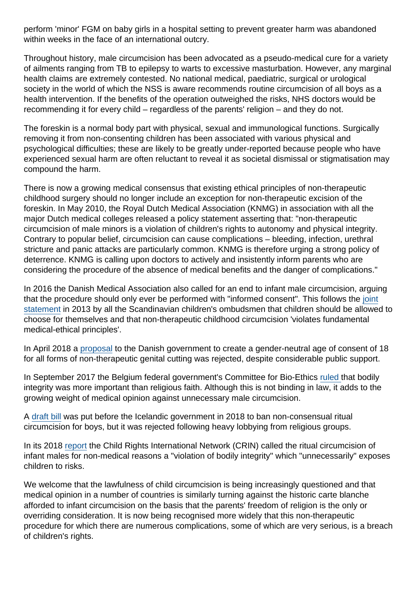perform 'minor' FGM on baby girls in a hospital setting to prevent greater harm was abandoned within weeks in the face of an international outcry.

Throughout history, male circumcision has been advocated as a pseudo-medical cure for a variety of ailments ranging from TB to epilepsy to warts to excessive masturbation. However, any marginal health claims are extremely contested. No national medical, paediatric, surgical or urological society in the world of which the NSS is aware recommends routine circumcision of all boys as a health intervention. If the benefits of the operation outweighed the risks, NHS doctors would be recommending it for every child – regardless of the parents' religion – and they do not.

The foreskin is a normal body part with physical, sexual and immunological functions. Surgically removing it from non-consenting children has been associated with various physical and psychological difficulties; these are likely to be greatly under-reported because people who have experienced sexual harm are often reluctant to reveal it as societal dismissal or stigmatisation may compound the harm.

There is now a growing medical consensus that existing ethical principles of non-therapeutic childhood surgery should no longer include an exception for non-therapeutic excision of the foreskin. In May 2010, the Royal Dutch Medical Association (KNMG) in association with all the major Dutch medical colleges released a policy statement asserting that: "non-therapeutic circumcision of male minors is a violation of children's rights to autonomy and physical integrity. Contrary to popular belief, circumcision can cause complications – bleeding, infection, urethral stricture and panic attacks are particularly common. KNMG is therefore urging a strong policy of deterrence. KNMG is calling upon doctors to actively and insistently inform parents who are considering the procedure of the absence of medical benefits and the danger of complications."

In 2016 the Danish Medical Association also called for an end to infant male circumcision, arguing that the procedure should only ever be performed with "informed consent". This follows the [joint](https://www.crin.org/en/docs/English-statement-.pdf) [statement](https://www.crin.org/en/docs/English-statement-.pdf) in 2013 by all the Scandinavian children's ombudsmen that children should be allowed to choose for themselves and that non-therapeutic childhood circumcision 'violates fundamental medical-ethical principles'.

In April 2018 a [proposal](https://www.secularism.org.uk/news/2018/04/danish-bid-to-create-age-of-consent-for-genital-cutting-set-to-fail) to the Danish government to create a gender-neutral age of consent of 18 for all forms of non-therapeutic genital cutting was rejected, despite considerable public support.

In September 2017 the Belgium federal government's Committee for Bio-Ethics [ruled](https://www.secularism.org.uk/news/2017/09/belgian-federal-committee-rules-against-ritual-circumcision) that bodily integrity was more important than religious faith. Although this is not binding in law, it adds to the growing weight of medical opinion against unnecessary male circumcision.

A [draft bill](https://www.secularism.org.uk/news/2018/02/nss-says-uk-should-follow-icelands-lead-to-end-genital-cutting) was put before the Icelandic government in 2018 to ban non-consensual ritual circumcision for boys, but it was rejected following heavy lobbying from religious groups.

In its 2018 [report](https://www.secularism.org.uk/news/2018/04/global-rights-group-forced-genital-cutting-violates-medical-ethics) the Child Rights International Network (CRIN) called the ritual circumcision of infant males for non-medical reasons a "violation of bodily integrity" which "unnecessarily" exposes children to risks.

We welcome that the lawfulness of child circumcision is being increasingly questioned and that medical opinion in a number of countries is similarly turning against the historic carte blanche afforded to infant circumcision on the basis that the parents' freedom of religion is the only or overriding consideration. It is now being recognised more widely that this non-therapeutic procedure for which there are numerous complications, some of which are very serious, is a breach of children's rights.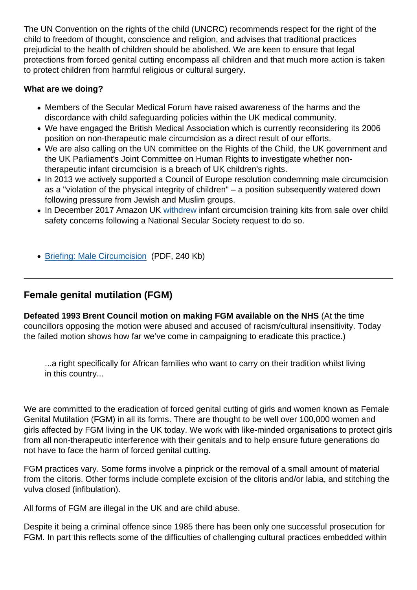The UN Convention on the rights of the child (UNCRC) recommends respect for the right of the child to freedom of thought, conscience and religion, and advises that traditional practices prejudicial to the health of children should be abolished. We are keen to ensure that legal protections from forced genital cutting encompass all children and that much more action is taken to protect children from harmful religious or cultural surgery.

What are we doing?

- Members of the Secular Medical Forum have raised awareness of the harms and the discordance with child safeguarding policies within the UK medical community.
- We have engaged the British Medical Association which is currently reconsidering its 2006 position on non-therapeutic male circumcision as a direct result of our efforts.
- We are also calling on the UN committee on the Rights of the Child, the UK government and the UK Parliament's Joint Committee on Human Rights to investigate whether nontherapeutic infant circumcision is a breach of UK children's rights.
- In 2013 we actively supported a Council of Europe resolution condemning male circumcision as a "violation of the physical integrity of children" – a position subsequently watered down following pressure from Jewish and Muslim groups.
- In December 2017 Amazon UK [withdrew](https://www.secularism.org.uk/news/2017/12/amazon-withdraws-infant-circumcision-training-kits-after-nss-letter) infant circumcision training kits from sale over child safety concerns following a National Secular Society request to do so.
- [Briefing: Male Circumcision](https://www.secularism.org.uk/uploads/briefing-male-circumcision.pdf?v=1617115994) (PDF, 240 Kb)

Female genital mutilation (FGM)

Defeated 1993 Brent Council motion on making FGM available on the NHS (At the time councillors opposing the motion were abused and accused of racism/cultural insensitivity. Today the failed motion shows how far we've come in campaigning to eradicate this practice.)

...a right specifically for African families who want to carry on their tradition whilst living in this country...

We are committed to the eradication of forced genital cutting of girls and women known as Female Genital Mutilation (FGM) in all its forms. There are thought to be well over 100,000 women and girls affected by FGM living in the UK today. We work with like-minded organisations to protect girls from all non-therapeutic interference with their genitals and to help ensure future generations do not have to face the harm of forced genital cutting.

FGM practices vary. Some forms involve a pinprick or the removal of a small amount of material from the clitoris. Other forms include complete excision of the clitoris and/or labia, and stitching the vulva closed (infibulation).

All forms of FGM are illegal in the UK and are child abuse.

Despite it being a criminal offence since 1985 there has been only one successful prosecution for FGM. In part this reflects some of the difficulties of challenging cultural practices embedded within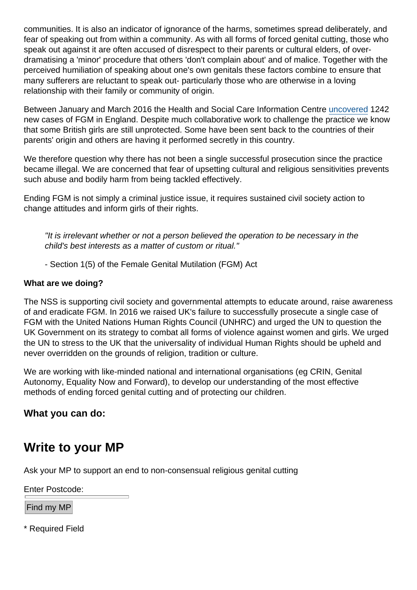communities. It is also an indicator of ignorance of the harms, sometimes spread deliberately, and fear of speaking out from within a community. As with all forms of forced genital cutting, those who speak out against it are often accused of disrespect to their parents or cultural elders, of overdramatising a 'minor' procedure that others 'don't complain about' and of malice. Together with the perceived humiliation of speaking about one's own genitals these factors combine to ensure that many sufferers are reluctant to speak out- particularly those who are otherwise in a loving relationship with their family or community of origin.

Between January and March 2016 the Health and Social Care Information Centre [uncovered](https://www.secularism.org.uk/news/2016/06/1200-cases-of-fgm-reported-in-three-months--but-data-likely-to-underestimate) 1242 new cases of FGM in England. Despite much collaborative work to challenge the practice we know that some British girls are still unprotected. Some have been sent back to the countries of their parents' origin and others are having it performed secretly in this country.

We therefore question why there has not been a single successful prosecution since the practice became illegal. We are concerned that fear of upsetting cultural and religious sensitivities prevents such abuse and bodily harm from being tackled effectively.

Ending FGM is not simply a criminal justice issue, it requires sustained civil society action to change attitudes and inform girls of their rights.

"It is irrelevant whether or not a person believed the operation to be necessary in the child's best interests as a matter of custom or ritual."

- Section 1(5) of the Female Genital Mutilation (FGM) Act

What are we doing?

The NSS is supporting civil society and governmental attempts to educate around, raise awareness of and eradicate FGM. In 2016 we raised UK's failure to successfully prosecute a single case of FGM with the United Nations Human Rights Council (UNHRC) and urged the UN to question the UK Government on its strategy to combat all forms of violence against women and girls. We urged the UN to stress to the UK that the universality of individual Human Rights should be upheld and never overridden on the grounds of religion, tradition or culture.

We are working with like-minded national and international organisations (eg CRIN, Genital Autonomy, Equality Now and Forward), to develop our understanding of the most effective methods of ending forced genital cutting and of protecting our children.

What you can do:

## Write to your MP

Ask your MP to support an end to non-consensual religious genital cutting

Enter Postcode:

Find my MP

\* Required Field